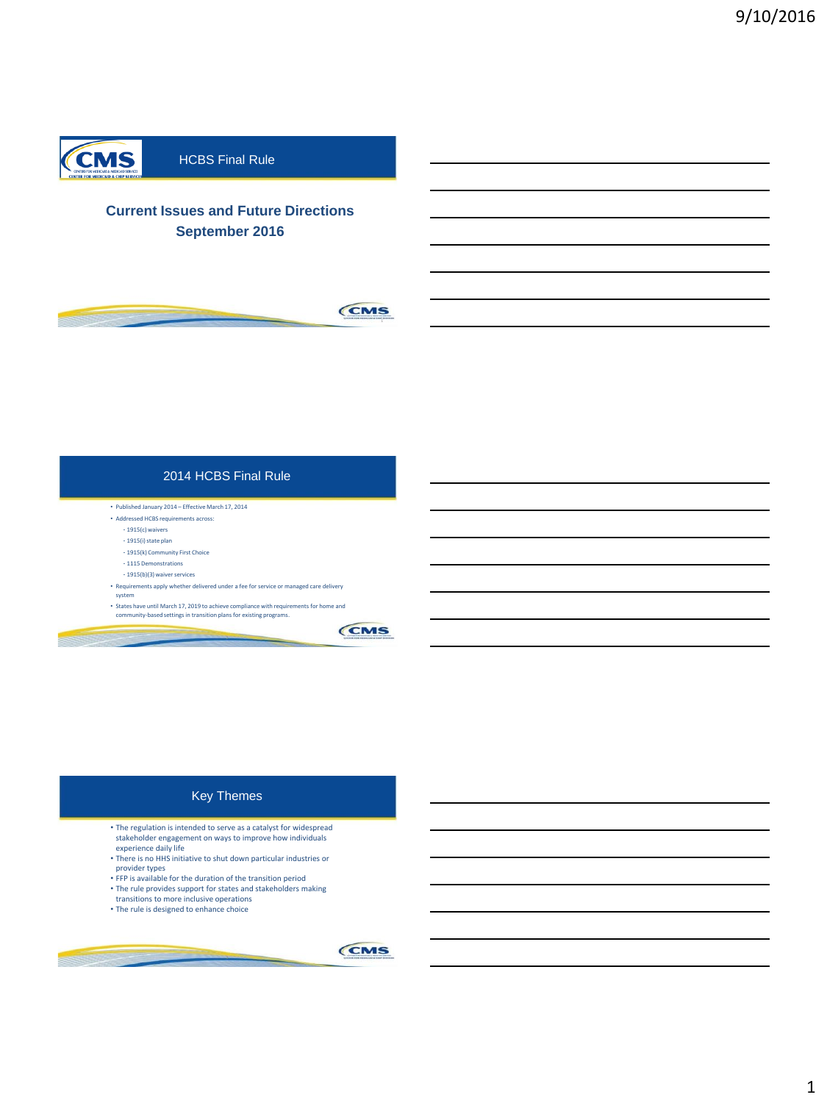

# HCBS Final Rule

# **Current Issues and Future Directions September 2016**



## 2014 HCBS Final Rule

• Published January 2014 – Effective March 17, 2014

- Addressed HCBS requirements across:
	- 1915(c) waivers
	- 1915(i) state plan
	- 1915(k) Community First Choice
	- 1115 Demonstrations - 1915(b)(3) waiver services
	-
- Requirements apply whether delivered under a fee for service or managed care delivery system
- States have until March 17, 2019 to achieve compliance with requirements for home and community-based settings in transition plans for existing programs.



## Key Themes

- The regulation is intended to serve as a catalyst for widespread stakeholder engagement on ways to improve how individuals
- experience daily life There is no HHS initiative to shut down particular industries or provider types
- FFP is available for the duration of the transition period
- The rule provides support for states and stakeholders making

3

transitions to more inclusive operations • The rule is designed to enhance choice

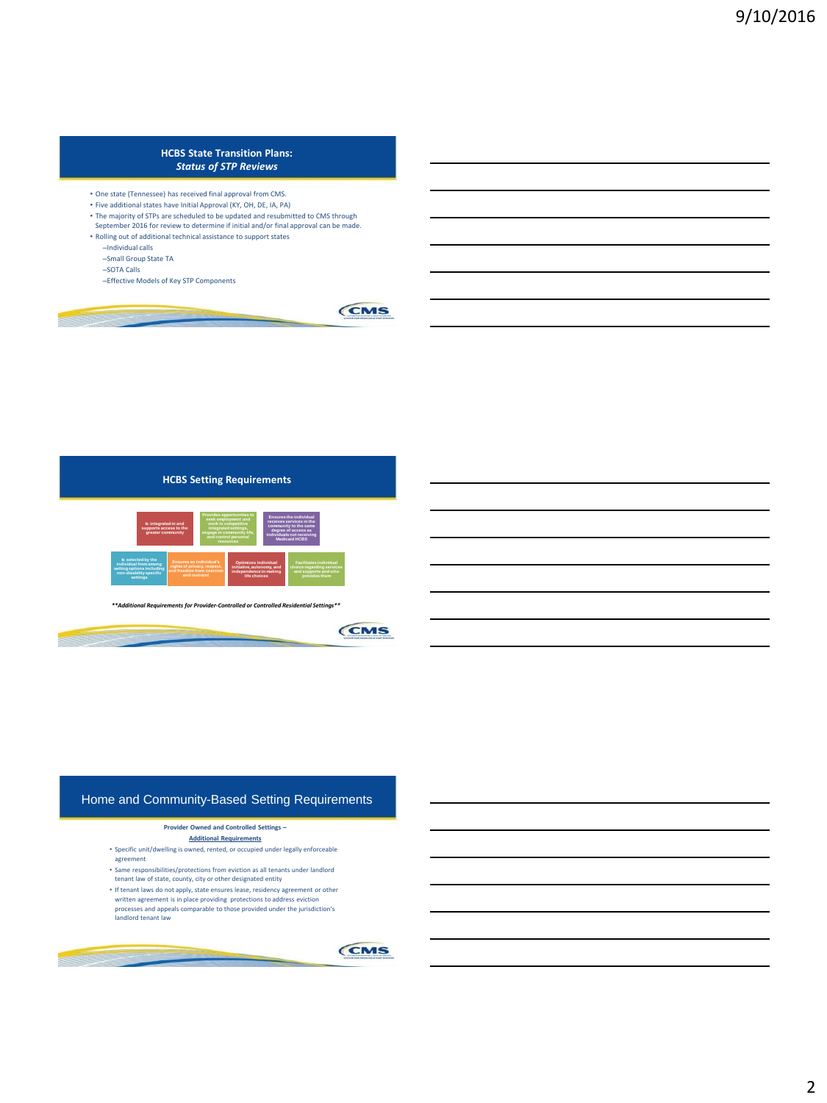### **HCBS State Transition Plans:**  *Status of STP Reviews*

- One state (Tennessee) has received final approval from CMS.
- Five additional states have Initial Approval (KY, OH, DE, IA, PA)
- The majority of STPs are scheduled to be updated and resubmitted to CMS through September 2016 for review to determine if initial and/or final approval can be made.
- Rolling out of additional technical assistance to support states
	- –Individual calls
	- –Small Group State TA
	- –SOTA Calls
	- –Effective Models of Key STP Components





*\*\*Additional Requirements for Provider-Controlled or Controlled Residential Settings\*\**



# Home and Community-Based Setting Requirements

#### **Provider Owned and Controlled Settings –**

- **Additional Requirements**
- Specific unit/dwelling is owned, rented, or occupied under legally enforceable agreement
- Same responsibilities/protections from eviction as all tenants under landlord
- tenant law of state, county, city or other designated entity • If tenant laws do not apply, state ensures lease, residency agreement or other
- written agreement is in place providing protections to address eviction processes and appeals comparable to those provided under the jurisdiction's landlord tenant law

6

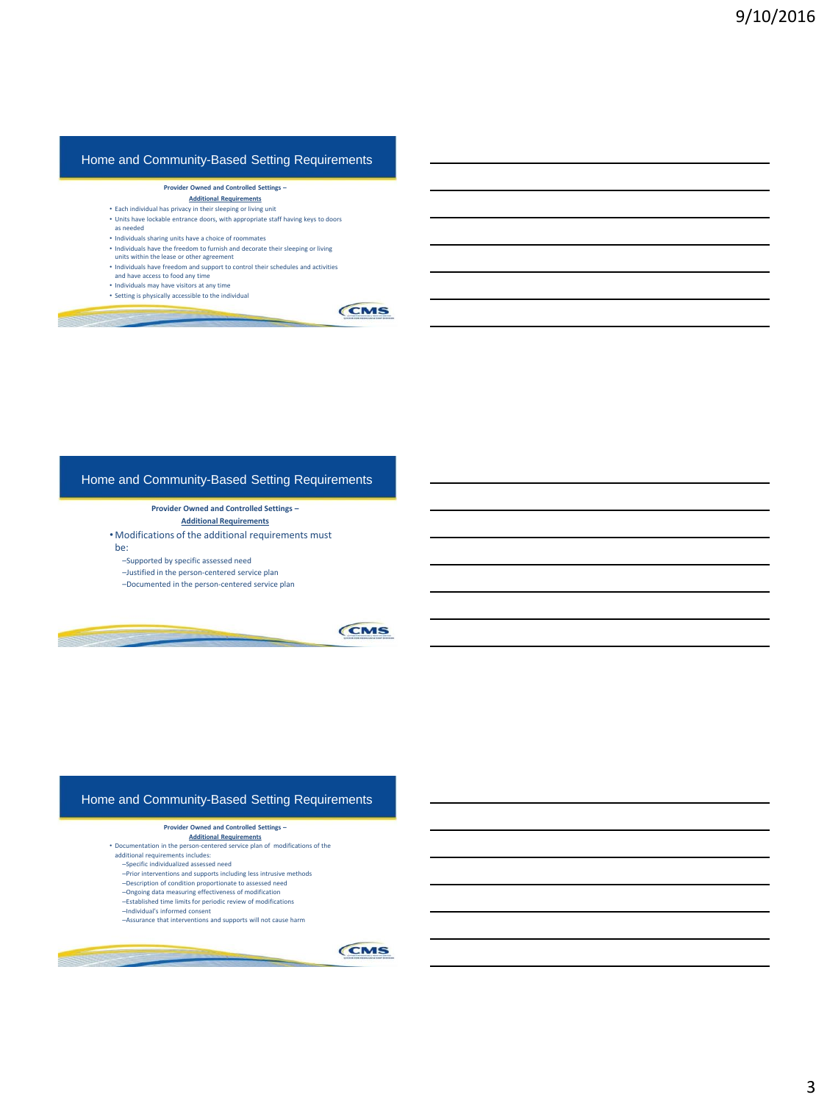## Home and Community-Based Setting Requirements

#### **Provider Owned and Controlled Settings –**

- **Additional Requirements**
- Each individual has privacy in their sleeping or living unit
- Units have lockable entrance doors, with appropriate staff having keys to doors as needed
- Individuals sharing units have a choice of roommates
- Individuals have the freedom to furnish and decorate their sleeping or living
- units within the lease or other agreement
- Individuals have freedom and support to control their schedules and activities and have access to food any time

7

- Individuals may have visitors at any time
- Setting is physically accessible to the individual



### Home and Community-Based Setting Requirements

**Provider Owned and Controlled Settings – Additional Requirements**

• Modifications of the additional requirements must

be:

–Supported by specific assessed need

–Justified in the person-centered service plan –Documented in the person-centered service plan

CMS

### Home and Community-Based Setting Requirements

#### **Provider Owned and Controlled Settings –**

**Additional Requirements** • Documentation in the person-centered service plan of modifications of the additional requirements includes:

- –Specific individualized assessed need
- –Prior interventions and supports including less intrusive methods
- –Description of condition proportionate to assessed need
- –Ongoing data measuring effectiveness of modification –Established time limits for periodic review of modifications
- 
- –Individual's informed consent –Assurance that interventions and supports will not cause harm

9

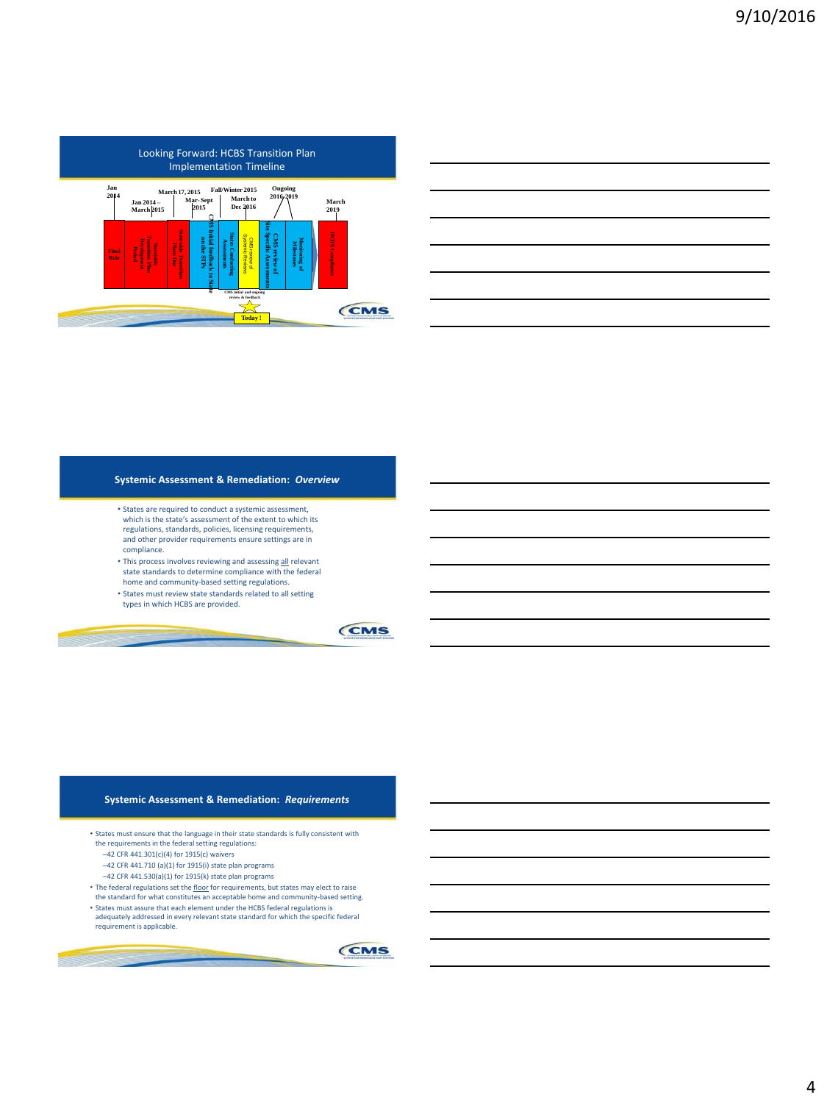

| the control of the control of the control of the control of the control of the control of the control of the control of the control of the control of the control of the control of the control of the control of the control |  |
|-------------------------------------------------------------------------------------------------------------------------------------------------------------------------------------------------------------------------------|--|
|                                                                                                                                                                                                                               |  |
|                                                                                                                                                                                                                               |  |
|                                                                                                                                                                                                                               |  |

#### **Systemic Assessment & Remediation:** *Overview*

- States are required to conduct a systemic assessment, which is the state's assessment of the extent to which its regulations, standards, policies, licensing requirements, and other provider requirements ensure settings are in compliance.
- This process involves reviewing and assessing all relevant state standards to determine compliance with the federal home and community-based setting regulations.
- States must review state standards related to all setting types in which HCBS are provided.

**CMS** 

#### **Systemic Assessment & Remediation:** *Requirements*

- States must ensure that the language in their state standards is fully consistent with the requirements in the federal setting regulations:
	- –42 CFR 441.301(c)(4) for 1915(c) waivers
	- –42 CFR 441.710 (a)(1) for 1915(i) state plan programs
	- $-42$  CFR 441.530(a)(1) for 1915(k) state plan programs
- The federal regulations set the *floor* for requirements, but states may elect to raise the standard for what constitutes an acceptable home and community-based setting.
- States must assure that each element under the HCBS federal regulations is adequately addressed in every relevant state standard for which the specific federal requirement is applicable.

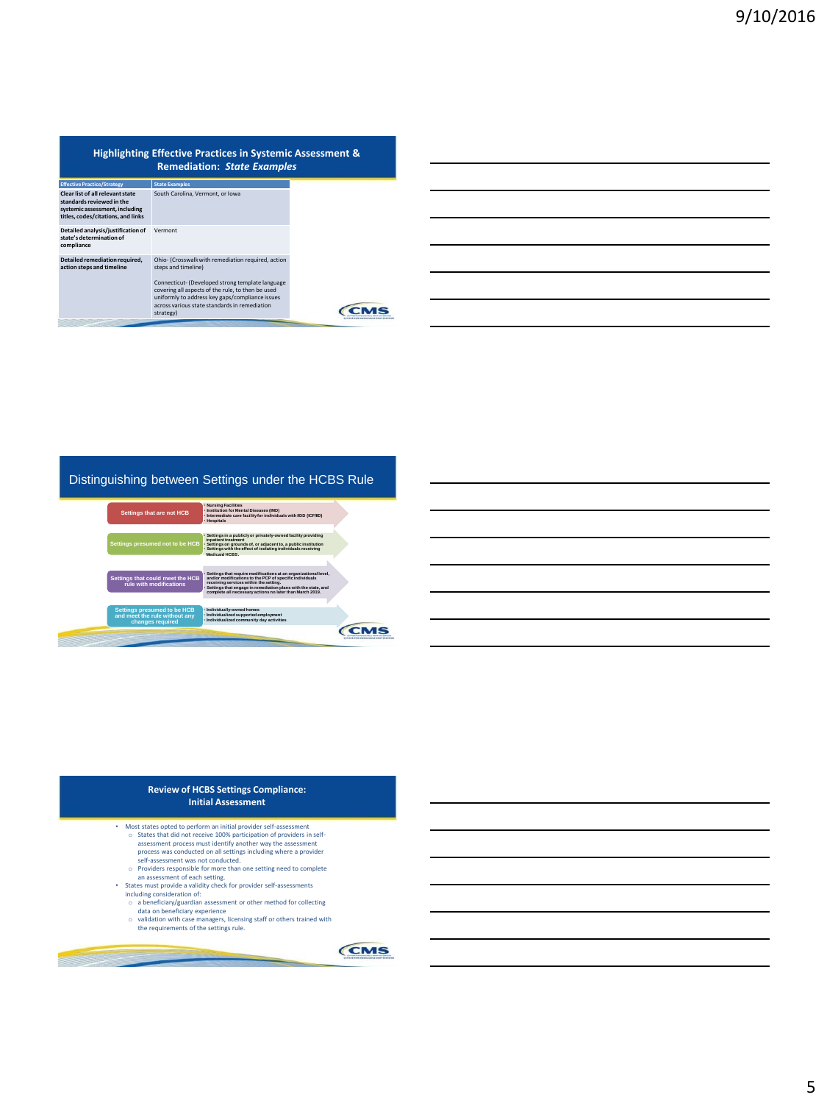|                                                                                                                                       | <b>Highlighting Effective Practices in Systemic Assessment &amp;</b><br><b>Remediation: State Examples</b>                                                                                                                                                                                          |  |
|---------------------------------------------------------------------------------------------------------------------------------------|-----------------------------------------------------------------------------------------------------------------------------------------------------------------------------------------------------------------------------------------------------------------------------------------------------|--|
| <b>Effective Practice/Strategy</b>                                                                                                    | <b>State Examples</b>                                                                                                                                                                                                                                                                               |  |
| Clear list of all relevant state<br>standards reviewed in the<br>systemic assessment, including<br>titles, codes/citations, and links | South Carolina, Vermont, or Iowa                                                                                                                                                                                                                                                                    |  |
| Detailed analysis/justification of<br>state's determination of<br>compliance                                                          | Vermont                                                                                                                                                                                                                                                                                             |  |
| Detailed remediation required.<br>action steps and timeline                                                                           | Ohio- (Crosswalk with remediation required, action<br>steps and timeline)<br>Connecticut- (Developed strong template language<br>covering all aspects of the rule, to then be used<br>uniformly to address key gaps/compliance issues<br>across various state standards in remediation<br>strategy) |  |

## Distinguishing between Settings under the HCBS Rule



| <b>Review of HCBS Settings Compliance:</b><br>Initial Assessment |  |
|------------------------------------------------------------------|--|
| set etatos antod to norform an initial neovidor colf-accoccmont  |  |

- 
- 
- Most states opted to perform an initial provider self-assessment<br>  $\circ$  States that did not receive 100% participation of providers in self-<br>
assessment process was conducted on all setting including where a provider<br>
pr
- 
- 
- o a beneficiary/guardian assessment or other method for collecting data on beneficiary experience o validation with case managers, licensing staff or others trained with the requirements of the settings rule.
- -

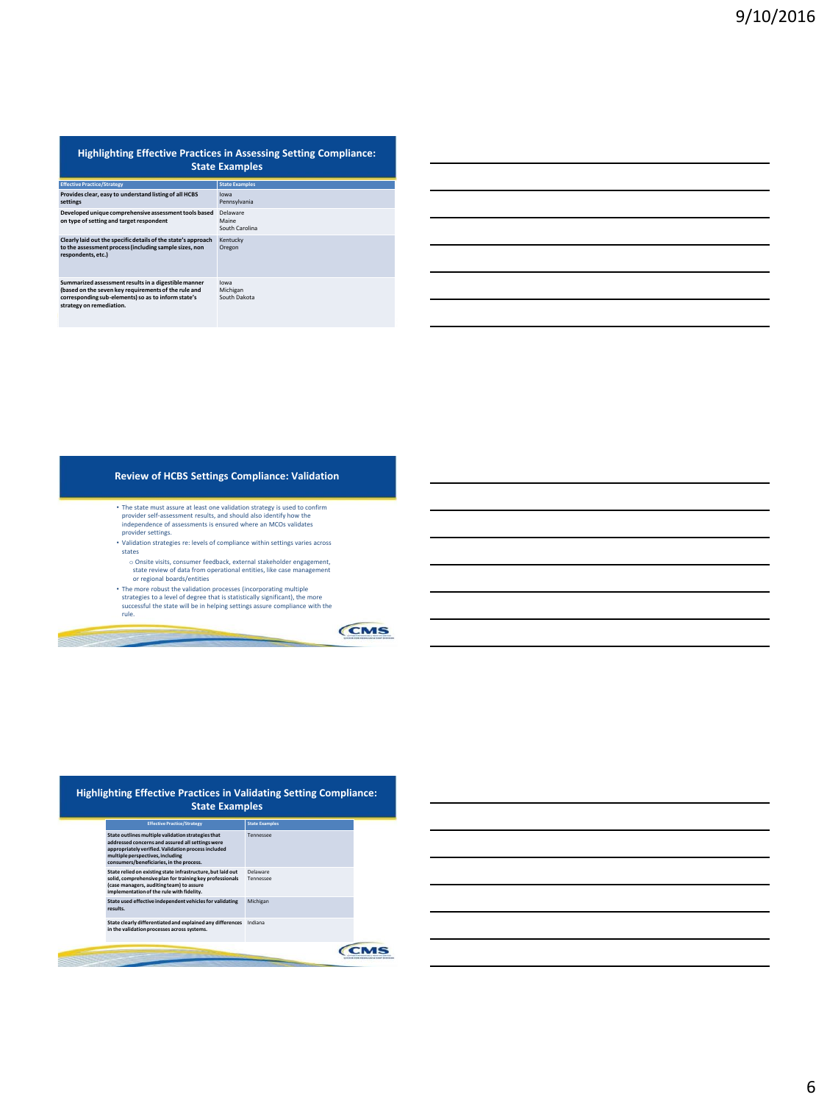|                                                                                                                                                                                                 | <b>Highlighting Effective Practices in Assessing Setting Compliance:</b><br><b>State Examples</b> |
|-------------------------------------------------------------------------------------------------------------------------------------------------------------------------------------------------|---------------------------------------------------------------------------------------------------|
| <b>Effective Practice/Strategy</b>                                                                                                                                                              | <b>State Examples</b>                                                                             |
| Provides clear, easy to understand listing of all HCBS<br>settings                                                                                                                              | lowa<br>Pennsylvania                                                                              |
| Developed unique comprehensive assessment tools based<br>on type of setting and target respondent                                                                                               | Delaware<br>Maine<br>South Carolina                                                               |
| Clearly laid out the specific details of the state's approach<br>to the assessment process (including sample sizes, non<br>respondents.etc.)                                                    | Kentucky<br>Oregon                                                                                |
| Summarized assessment results in a digestible manner<br>(based on the seven key requirements of the rule and<br>corresponding sub-elements) so as to inform state's<br>strategy on remediation. | lowa<br>Michigan<br>South Dakota                                                                  |

### **Review of HCBS Settings Compliance: Validation**

- The state must assure at least one validation strategy is used to confirm<br>provider self-assessment results, and should also identify how the<br>independence of assessments is ensured where an MCOs validates<br>provider setting
- Validation strategies re: levels of compliance within settings varies across states
	-
- $\circ$  Onsite visits, consumer feedback, external stakeholder engagement, state review of data from operational entities, like case management or regional boards/entities<br> $\circ$ The more robust the validation processes (incorp

**CMS** 

| <b>Effective Practice/Strategy</b>                                                                                                                                                                                                            | <b>State Examples</b> |
|-----------------------------------------------------------------------------------------------------------------------------------------------------------------------------------------------------------------------------------------------|-----------------------|
| State outlines multiple validation strategies that<br>addressed concerns and assured all settings were<br>appropriately verified. Validation process included<br>multiple perspectives, including<br>consumers/beneficiaries, in the process. | Tennessee             |
| State relied on existing state infrastructure, but laid out<br>solid, comprehensive plan for training key professionals<br>(case managers, auditing team) to assure<br>implementation of the rule with fidelity.                              | Delaware<br>Tennessee |
| State used effective independent vehicles for validating<br>results.                                                                                                                                                                          | Michigan              |
| State clearly differentiated and explained any differences<br>in the validation processes across systems.                                                                                                                                     | Indiana               |

## 6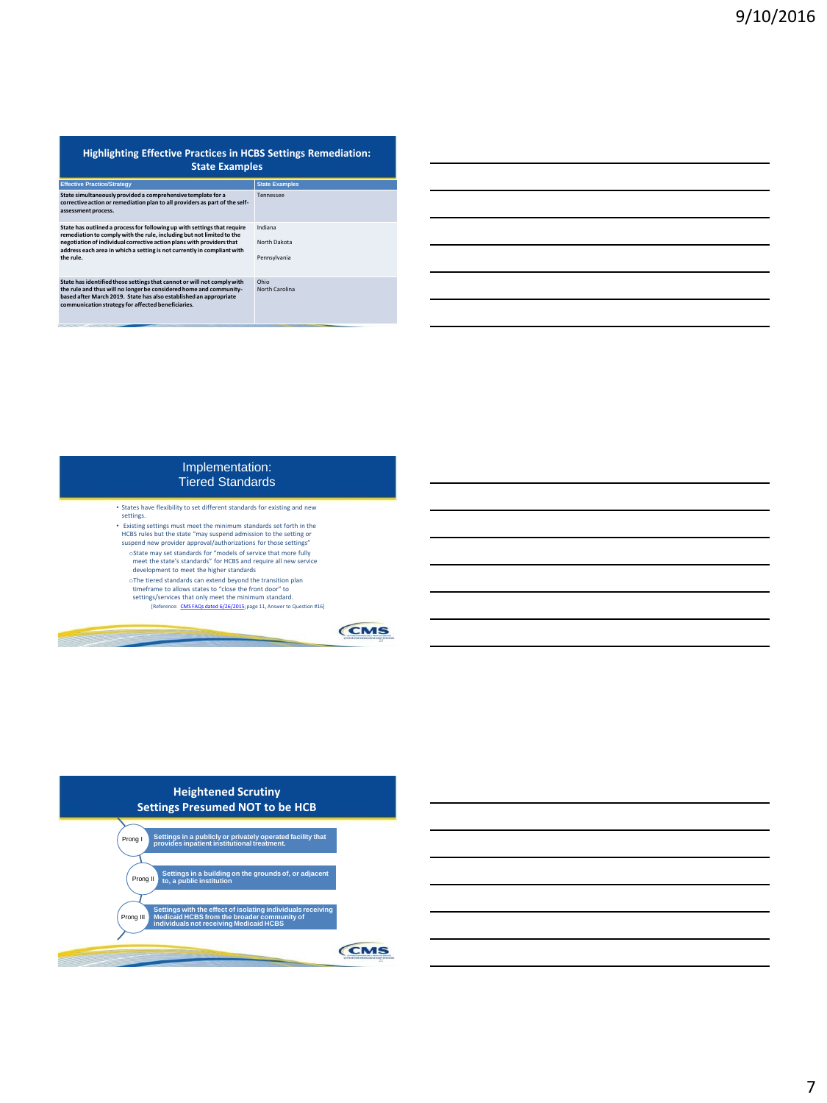| <b>Highlighting Effective Practices in HCBS Settings Remediation:</b><br><b>State Examples</b>                                                                                                                                                                                                                     |                                         |
|--------------------------------------------------------------------------------------------------------------------------------------------------------------------------------------------------------------------------------------------------------------------------------------------------------------------|-----------------------------------------|
| <b>Effective Practice/Strategy</b>                                                                                                                                                                                                                                                                                 | <b>State Examples</b>                   |
| State simultaneously provided a comprehensive template for a<br>corrective action or remediation plan to all providers as part of the self-<br>assessment process.                                                                                                                                                 | Tennessee                               |
| State has outlined a process for following up with settings that require<br>remediation to comply with the rule, including but not limited to the<br>negotiation of individual corrective action plans with providers that<br>address each area in which a setting is not currently in compliant with<br>the rule. | Indiana<br>North Dakota<br>Pennsylvania |
| State has identified those settings that cannot or will not comply with<br>the rule and thus will no longer be considered home and community-<br>based after March 2019. State has also established an appropriate<br>communication strategy for affected beneficiaries.                                           | Ohio<br>North Carolina                  |

# Implementation: Tiered Standards

- States have flexibility to set different standards for existing and new settings.
- Existing settings must meet the minimum standards set forth in the HCBS rules but the state "may suspend admission to the setting or suspend new provider approval/authorizations for those settings"
- oState may set standards for "models of service that more fully meet the state's standards" for HCBS and require all new service development to meet the higher standards
- The tiered standards can extend beyond the transition plan<br>timeframe to allows states to "close the front door" to<br>setting/services that only meet the minimum standard.<br>[Reference: [CMS FAQs dated 6/26/2015;](http://www.medicaid.gov/medicaid-chip-program-information/by-topics/long-term-services-and-supports/home-and-community-based-services/downloads/home-and-community-based-setting-requirements.pdf) page 11, Answer
	-



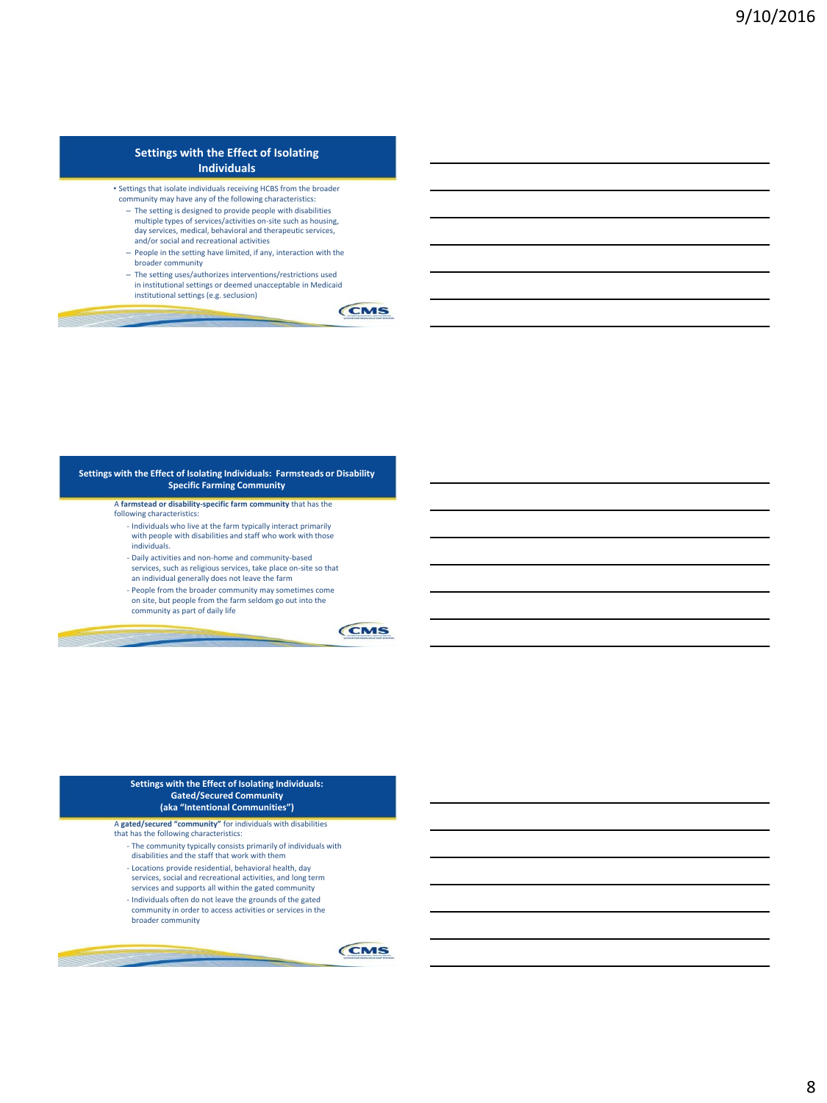### **Settings with the Effect of Isolating Individuals**

- Settings that isolate individuals receiving HCBS from the broader community may have any of the following characteristics:
	- The setting is designed to provide people with disabilities multiple types of services/activities on-site such as housing, day services, medical, behavioral and therapeutic services, and/or social and recreational activities
	- People in the setting have limited, if any, interaction with the
	- broader community
	- The setting uses/authorizes interventions/restrictions used in institutional settings or deemed unacceptable in Medicaid institutional settings (e.g. seclusion)



#### **Settings with the Effect of Isolating Individuals: Farmsteads or Disability Specific Farming Community**

- A **farmstead or disability-specific farm community** that has the following characteristics:
	- Individuals who live at the farm typically interact primarily with people with disabilities and staff who work with those individuals.
	- Daily activities and non-home and community-based services, such as religious services, take place on-site so that an individual generally does not leave the farm
	- People from the broader community may sometimes come on site, but people from the farm seldom go out into the
	- community as part of daily life



#### **Settings with the Effect of Isolating Individuals: Gated/Secured Community (aka "Intentional Communities")**

### A **gated/secured "community"** for individuals with disabilities

- that has the following characteristics:
	- The community typically consists primarily of individuals with
	- disabilities and the staff that work with them
	- Locations provide residential, behavioral health, day
	- services, social and recreational activities, and long term services and supports all within the gated community
	- Individuals often do not leave the grounds of the gated community in order to access activities or services in the



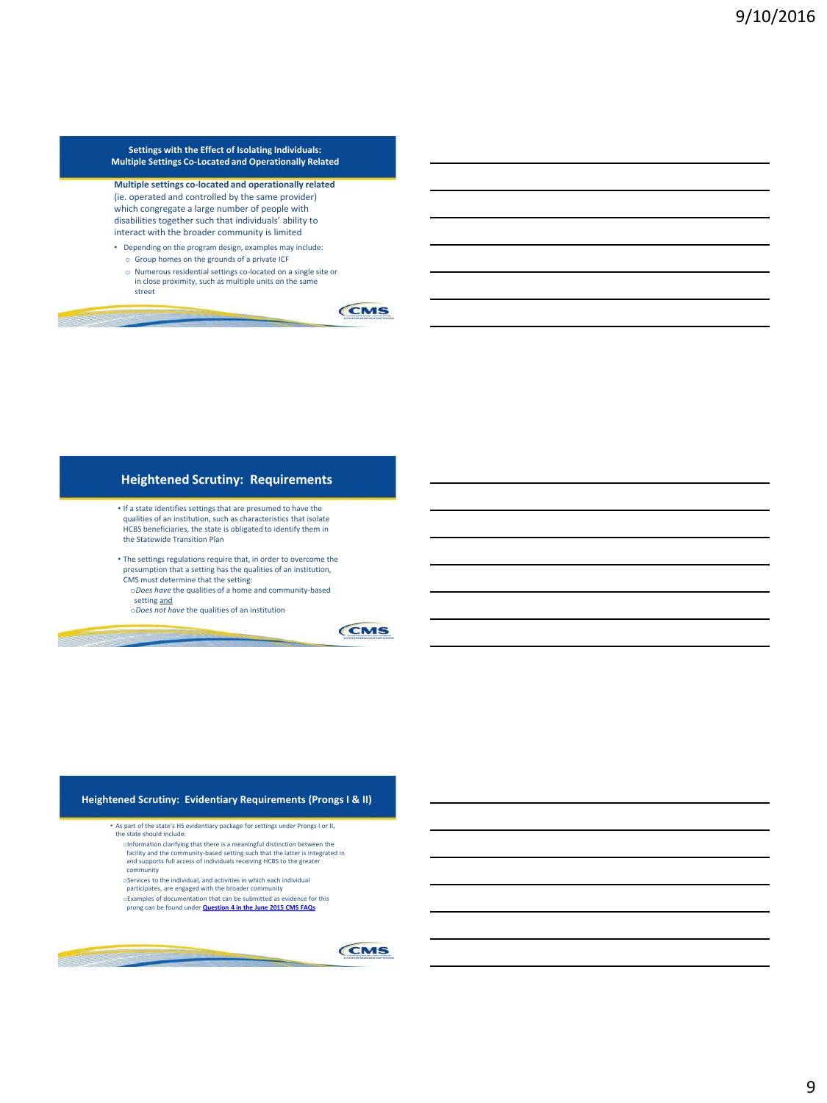**Settings with the Effect of Isolating Individuals: Multiple Settings Co-Located and Operationally Related**

**Multiple settings co-located and operationally related**  (ie. operated and controlled by the same provider) which congregate a large number of people with disabilities together such that individuals' ability to interact with the broader community is limited

- Depending on the program design, examples may include:
- o Group homes on the grounds of a private ICF
- o Numerous residential settings co-located on a single site or in close proximity, such as multiple units on the same street



# **Heightened Scrutiny: Requirements**

- If a state identifies settings that are presumed to have the qualities of an institution, such as characteristics that isolate HCBS beneficiaries, the state is obligated to identify them in the Statewide Transition Plan
- The settings regulations require that, in order to overcome the presumption that a setting has the qualities of an institution, CMS must determine that the setting:
- o*Does have* the qualities of a home and community-based setting and
- o*Does not have* the qualities of an institution

CMS

#### **Heightened Scrutiny: Evidentiary Requirements (Prongs I & II)**

- As part of the state's HS evidentiary package for settings under Prongs I or II, the state should include:
	- olnformation clarifying that there is a meaningful distinction between the facility and the community-based setting such that the latter is integrated in<br>and supports full access of individuals receiving HCBS to the greate community
	- oServices to the individual, and activities in which each individual
	- participates, are engaged with the broader community
	- oExamples of documentation that can be submitted as evidence for this prong can be found under **[Question 4 in the June 2015 CMS FAQs](https://www.medicaid.gov/medicaid-chip-program-information/by-topics/long-term-services-and-supports/home-and-community-based-services/downloads/home-and-community-based-setting-requirements.pdf)**



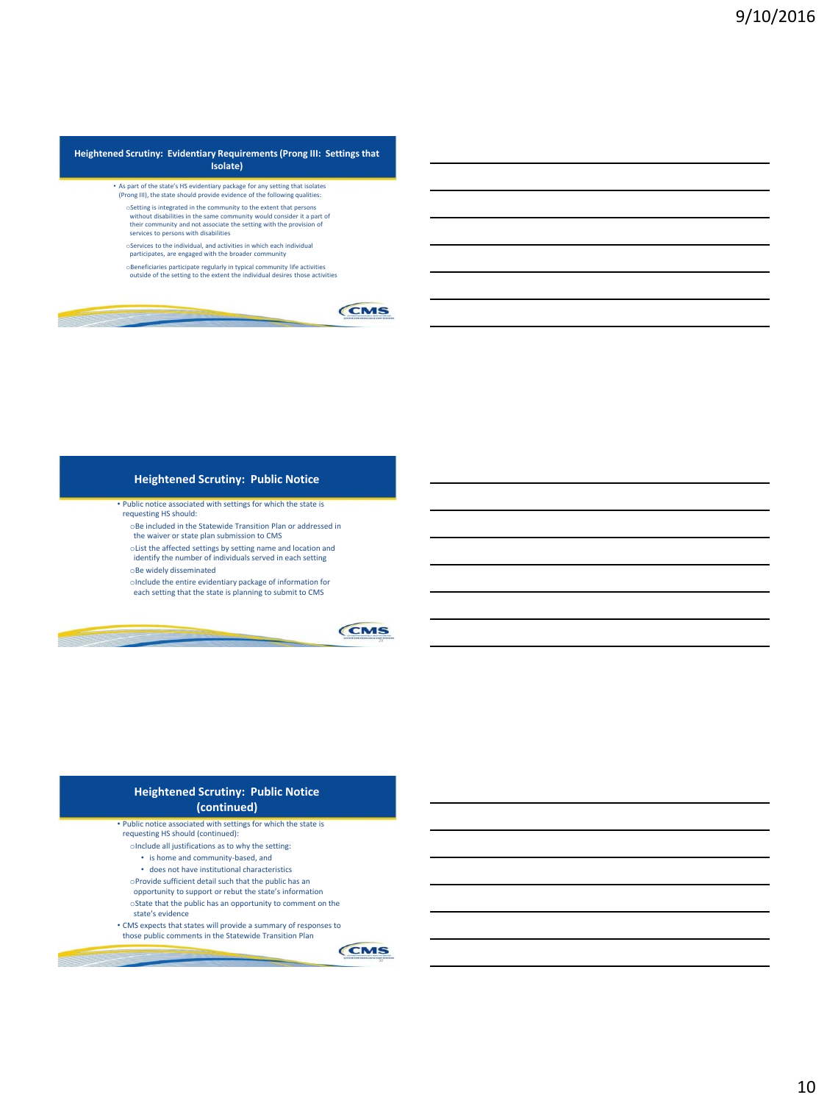#### **Heightened Scrutiny: Evidentiary Requirements (Prong III: Settings that Isolate)**

- As part of the state's HS evidentiary package for any setting that isolates (Prong III), the state should provide evidence of the following qualities:
- $\circ$  Setting is integrated in the community to the extent that persons without disabilities in the same community would consider it a part of without disabilities in the same comm their community and not associate the setting with the provision of
- services to persons with disabilities
- oServices to the individual, and activities in which each individual participates, are engaged with the broader community
- oBeneficiaries participate regularly in typical community life activities outside of the setting to the extent the individual desires those activities



### **Heightened Scrutiny: Public Notice**

- Public notice associated with settings for which the state is
- requesting HS should: oBe included in the Statewide Transition Plan or addressed in
	- the waiver or state plan submission to CMS
- oList the affected settings by setting name and location and
- identify the number of individuals served in each setting
- oBe widely disseminated
- oInclude the entire evidentiary package of information for each setting that the state is planning to submit to CMS



### **Heightened Scrutiny: Public Notice (continued)**

- Public notice associated with settings for which the state is requesting HS should (continued):
	- oInclude all justifications as to why the setting:
	- is home and community-based, and
	- does not have institutional characteristics
	- oProvide sufficient detail such that the public has an
	- opportunity to support or rebut the state's information
	- oState that the public has an opportunity to comment on the state's evidence
- CMS expects that states will provide a summary of responses to those public comments in the Statewide Transition Plan

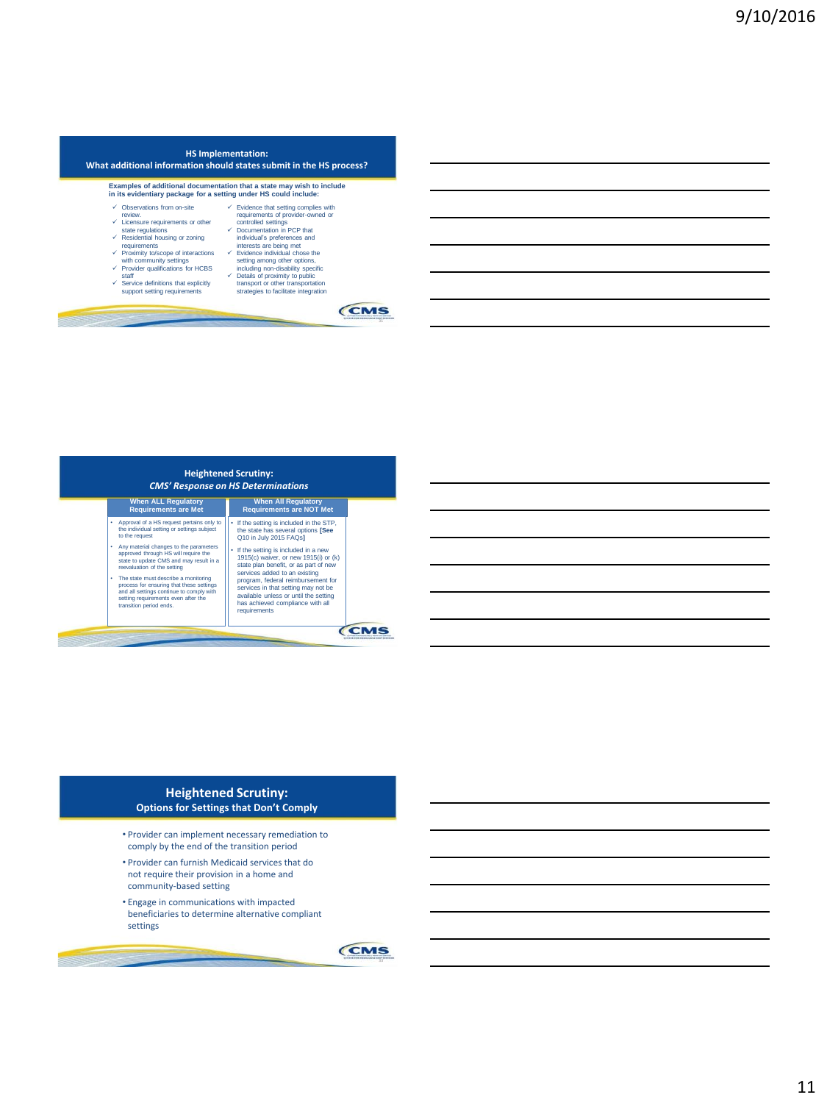| in its evidentiary package for a setting under HS could include: | Examples of additional documentation that a state may wish to include |
|------------------------------------------------------------------|-----------------------------------------------------------------------|
| Observations from on-site                                        | $\checkmark$ Evidence that setting complies with                      |
| review.                                                          | requirements of provider-owned or                                     |
| └ Licensure requirements or other                                | controlled settings                                                   |
| state regulations                                                | ← Documentation in PCP that                                           |
| Residential housing or zoning                                    | individual's preferences and                                          |
| requirements                                                     | interests are being met                                               |
| Proximity to/scope of interactions                               | $\checkmark$ Evidence individual chose the                            |
| with community settings                                          | setting among other options,                                          |
| Provider qualifications for HCBS                                 | including non-disability specific                                     |
| staff                                                            | $\checkmark$ Details of proximity to public                           |
| Service definitions that explicitly                              | transport or other transportation                                     |
| support setting requirements                                     | strategies to facilitate integration                                  |



#### **Heightened Scrutiny: Options for Settings that Don't Comply**

- Provider can implement necessary remediation to comply by the end of the transition period
- Provider can furnish Medicaid services that do not require their provision in a home and community-based setting
- Engage in communications with impacted beneficiaries to determine alternative compliant settings

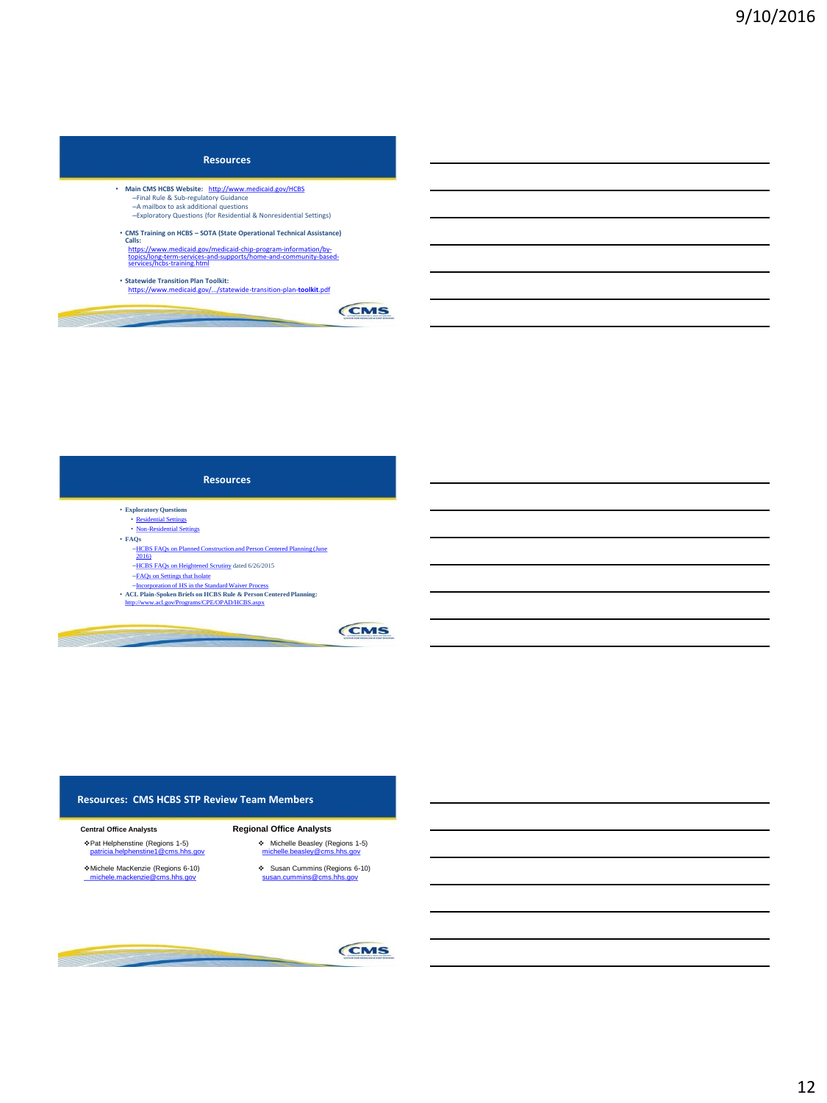#### **Resources**

- **Main CMS HCBS Website:** <http://www.medicaid.gov/HCBS> –Final Rule & Sub-regulatory Guidance –A mailbox to ask additional questions
	- –Exploratory Questions (for Residential & Nonresidential Settings)
- **CMS Training on HCBS – SOTA (State Operational Technical Assistance) Calls:** [https://www.medicaid.gov/medicaid-chip-program-information/by-](https://www.medicaid.gov/medicaid-chip-program-information/by-topics/long-term-services-and-supports/home-and-community-based-services/hcbs-training.html)[topics/long-term-services-and-supports/home-and-community-based-](https://www.medicaid.gov/medicaid-chip-program-information/by-topics/long-term-services-and-supports/home-and-community-based-services/hcbs-training.html)[services/hcbs-training.html](https://www.medicaid.gov/medicaid-chip-program-information/by-topics/long-term-services-and-supports/home-and-community-based-services/hcbs-training.html)

--

• **Statewide Transition Plan Toolkit:**  [https://www.medicaid.gov/.../statewide-transition-plan-](https://www.medicaid.gov/.../statewide-transition-plan-toolkit.pdf)**[toolkit](https://www.medicaid.gov/.../statewide-transition-plan-toolkit.pdf)**[.pdf](https://www.medicaid.gov/.../statewide-transition-plan-toolkit.pdf)



## **Resources** • **Exploratory Questions**  • [Residential Settings](https://www.google.com/url?sa=t&rct=j&q=&esrc=s&source=web&cd=1&cad=rja&uact=8&ved=0ahUKEwilzrOr2a_NAhVIID4KHT_ACTYQFggcMAA&url=https://www.medicaid.gov/medicaid-chip-program-information/by-topics/long-term-services-and-supports/home-and-community-based-services/downloads/exploratory-questions-re-settings-characteristics.pdf&usg=AFQjCNF6Va6zkgslL4ylsbAem-6DNqlioQ&sig2=zBuNFZ-Ns8y5H5odTA9Jpg&bvm=bv.124272578,d.cWw)

- [Non-Residential Settings](https://www.google.com/url?sa=t&rct=j&q=&esrc=s&source=web&cd=2&ved=0ahUKEwilzrOr2a_NAhVIID4KHT_ACTYQFggjMAE&url=https://www.medicaid.gov/medicaid-chip-program-information/by-topics/long-term-services-and-supports/home-and-community-based-services/downloads/exploratory-questions-non-residential.pdf&usg=AFQjCNHINzt0AzSpBO7K97nqm9x4ScOsAA&sig2=DVxNzhwakzR0yLiKzoWf6w&bvm=bv.124272578,d.cWw)
- **FAQs**
	- –[HCBS FAQs on Planned Construction and Person Centered Planning \(June](https://www.medicaid.gov/medicaid-chip-program-information/by-topics/long-term-services-and-supports/home-and-community-based-services/downloads/faq-planned-construction.pdf)  [2016\)](https://www.medicaid.gov/medicaid-chip-program-information/by-topics/long-term-services-and-supports/home-and-community-based-services/downloads/faq-planned-construction.pdf)
- –[HCBS FAQs on Heightened Scrutiny](https://www.google.com/url?sa=t&rct=j&q=&esrc=s&source=web&cd=1&sqi=2&ved=0ahUKEwil4I2L2a_NAhXMcz4KHW48AikQFggcMAA&url=https://www.medicaid.gov/medicaid-chip-program-information/by-topics/long-term-services-and-supports/home-and-community-based-services/downloads/home-and-community-based-setting-requirements.pdf&usg=AFQjCNGgHJUjdfDakkji2PPsIw4UCq84YA&sig2=SuHpJ3Z3VtidG2nQDUQtpA&bvm=bv.124272578,d.cWw) dated 6/26/2015 –[FAQs on Settings that Isolate](https://www.google.com/url?sa=t&rct=j&q=&esrc=s&source=web&cd=1&ved=0ahUKEwidkdag2K_NAhVCaz4KHTtiCCQQFggcMAA&url=https://www.medicaid.gov/medicaid-chip-program-information/by-topics/long-term-services-and-supports/home-and-community-based-services/downloads/settings-that-isolate.pdf&usg=AFQjCNHBrGsI5l3TJGn8hSS_2AVIorSroQ&sig2=PNvQ4NgFbczSChkyq_iUSQ&bvm=bv.124272578,d.cWw)
- 
- 
- –[Incorporation of HS in the Standard Waiver Process](https://www.google.com/url?sa=t&rct=j&q=&esrc=s&source=web&cd=2&ved=0ahUKEwiF2YPR2K_NAhUIID4KHfLzBUEQFggjMAE&url=https://www.medicaid.gov/medicaid-chip-program-information/by-topics/long-term-services-and-supports/home-and-community-based-services/downloads/heightened-scrutiny.pdf&usg=AFQjCNH64KhC3R2p7dx4bgM63E-sOEWq3w&sig2=kQ_uqwMZfIrPE45I1iPb3w&bvm=bv.124272578,d.cWw)  **ACL Plain-Spoken Briefs on HCBS Rule & Person Centered Planning:**  <http://www.acl.gov/Programs/CPE/OPAD/HCBS.aspx>



#### **Resources: CMS HCBS STP Review Team Members**

#### **Central Office Analysts**

- Pat Helphenstine (Regions 1-5) [patricia.helphenstine1@cms.hhs.gov](mailto:patricia.helphenstine1@cms.hhs.gov)
- 
- Michele MacKenzie (Regions 6-10) [michele.mackenzie@cms.hhs.gov](mailto:michele.mackenzie@cms.hhs.gov)

## **Regional Office Analysts**

- Michelle Beasley (Regions 1-5) [michelle.beasley@cms.hhs.gov](mailto:michelle.Beasley@cms.hhs.gov)
- Susan Cummins (Regions 6-10) [susan.cummins@cms.hhs.gov](mailto:susan.cummins@cms.hhs.gov)